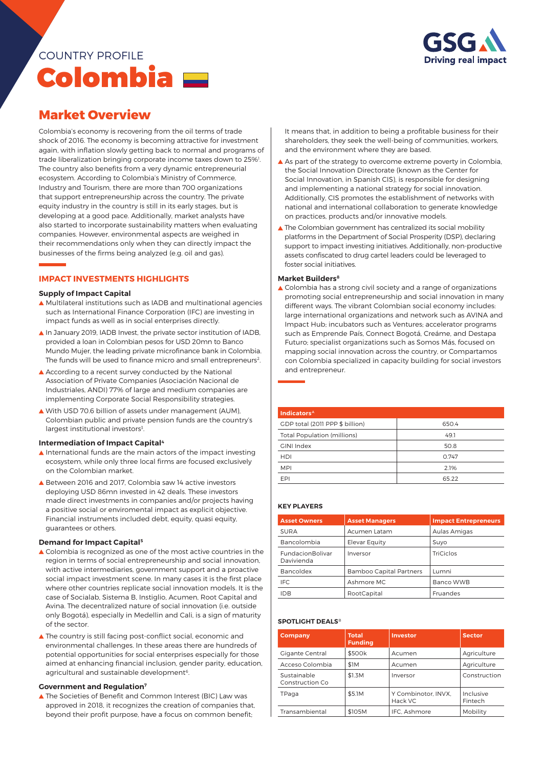## ESG **Driving real impact**

# COUNTRY PROFILE Colombia

### **Market Overview**

Colombia's economy is recovering from the oil terms of trade shock of 2016. The economy is becoming attractive for investment again, with inflation slowly getting back to normal and programs of trade liberalization bringing corporate income taxes down to 25%<sup>1</sup>. The country also benefits from a very dynamic entrepreneurial ecosystem. According to Colombia's Ministry of Commerce, Industry and Tourism, there are more than 700 organizations that support entrepreneurship across the country. The private equity industry in the country is still in its early stages, but is developing at a good pace. Additionally, market analysts have also started to incorporate sustainability matters when evaluating companies. However, environmental aspects are weighed in their recommendations only when they can directly impact the businesses of the firms being analyzed (e.g. oil and gas).

### **IMPACT INVESTMENTS HIGHLIGHTS**

#### **Supply of Impact Capital**

- ▲ Multilateral institutions such as IADB and multinational agencies such as International Finance Corporation (IFC) are investing in impact funds as well as in social enterprises directly.
- ▲ In January 2019, IADB Invest, the private sector institution of IADB, provided a loan in Colombian pesos for USD 20mn to Banco Mundo Mujer, the leading private microfinance bank in Colombia. The funds will be used to finance micro and small entrepreneurs<sup>2</sup>.
- According to a recent survey conducted by the National Association of Private Companies (Asociación Nacional de Industriales, ANDI) 77% of large and medium companies are implementing Corporate Social Responsibility strategies.
- With USD 70.6 billion of assets under management (AUM), Colombian public and private pension funds are the country's largest institutional investors<sup>3</sup> .

#### **Intermediation of Impact Capital4**

- $\blacktriangle$  International funds are the main actors of the impact investing ecosystem, while only three local firms are focused exclusively on the Colombian market.
- ▲ Between 2016 and 2017, Colombia saw 14 active investors deploying USD 86mn invested in 42 deals. These investors made direct investments in companies and/or projects having a positive social or enviromental impact as explicit objective. Financial instruments included debt, equity, quasi equity, guarantees or others.

#### **Demand for Impact Capital5**

- ▲ Colombia is recognized as one of the most active countries in the region in terms of social entrepreneurship and social innovation, with active intermediaries, government support and a proactive social impact investment scene. In many cases it is the first place where other countries replicate social innovation models. It is the case of Socialab, Sistema B, Instiglio, Acumen, Root Capital and Avina. The decentralized nature of social innovation (i.e. outside only Bogotá), especially in Medellin and Cali, is a sign of maturity of the sector.
- ▲ The country is still facing post-conflict social, economic and environmental challenges. In these areas there are hundreds of potential opportunities for social enterprises especially for those aimed at enhancing financial inclusion, gender parity, education, agricultural and sustainable development<sup>6</sup>.

#### **Government and Regulation7**

▲ The Societies of Benefit and Common Interest (BIC) Law was approved in 2018, it recognizes the creation of companies that, beyond their profit purpose, have a focus on common benefit;

It means that, in addition to being a profitable business for their shareholders, they seek the well-being of communities, workers, and the environment where they are based.

- As part of the strategy to overcome extreme poverty in Colombia, the Social Innovation Directorate (known as the Center for Social Innovation, in Spanish CIS), is responsible for designing and implementing a national strategy for social innovation. Additionally, CIS promotes the establishment of networks with national and international collaboration to generate knowledge on practices, products and/or innovative models.
- ▲ The Colombian government has centralized its social mobility platforms in the Department of Social Prosperity (DSP), declaring support to impact investing initiatives. Additionally, non-productive assets confiscated to drug cartel leaders could be leveraged to foster social initiatives.

#### **Market Builders8**

▲ Colombia has a strong civil society and a range of organizations promoting social entrepreneurship and social innovation in many different ways. The vibrant Colombian social economy includes: large international organizations and network such as AVINA and Impact Hub; incubators such as Ventures; accelerator programs such as Emprende País, Connect Bogotá, Creáme, and Destapa Futuro; specialist organizations such as Somos Más, focused on mapping social innovation across the country, or Compartamos con Colombia specialized in capacity building for social investors and entrepreneur.

| Indicators <sup>A</sup>            |       |  |  |  |
|------------------------------------|-------|--|--|--|
| GDP total (2011 PPP \$ billion)    | 650.4 |  |  |  |
| <b>Total Population (millions)</b> | 49.1  |  |  |  |
| GINI Index                         | 50.8  |  |  |  |
| <b>HDI</b>                         | 0.747 |  |  |  |
| <b>MPI</b>                         | 2.1%  |  |  |  |
| EPI                                | 65.22 |  |  |  |

#### **key players**

| <b>Asset Owners</b>            | <b>Asset Managers</b>          | <b>Impact Entrepreneurs</b> |  |
|--------------------------------|--------------------------------|-----------------------------|--|
| <b>SURA</b>                    | Acumen Latam                   | Aulas Amigas                |  |
| Bancolombia                    | Elevar Equity                  | Suyo                        |  |
| FundacionBolivar<br>Davivienda | Inversor                       | TriCiclos                   |  |
| Bancoldex                      | <b>Bamboo Capital Partners</b> | Lumni                       |  |
| <b>IFC</b>                     | Ashmore MC                     | Banco WWB                   |  |
| <b>IDB</b>                     | RootCapital                    | Fruandes                    |  |

#### **SPOTLIGHT DEALSB**

| Company                        | <b>Total</b><br><b>Funding</b> | <b>Investor</b>                | <b>Sector</b>        |
|--------------------------------|--------------------------------|--------------------------------|----------------------|
| <b>Gigante Central</b>         | \$500k                         | Acumen                         | Agriculture          |
| Acceso Colombia                | \$1M                           | Acumen                         | Agriculture          |
| Sustainable<br>Construction Co | \$1.3M                         | Inversor                       | Construction         |
| TPaga                          | \$5.1M                         | Y Combinotor, INVX.<br>Hack VC | Inclusive<br>Fintech |
| Transambiental                 | \$105M                         | IFC. Ashmore                   | Mobility             |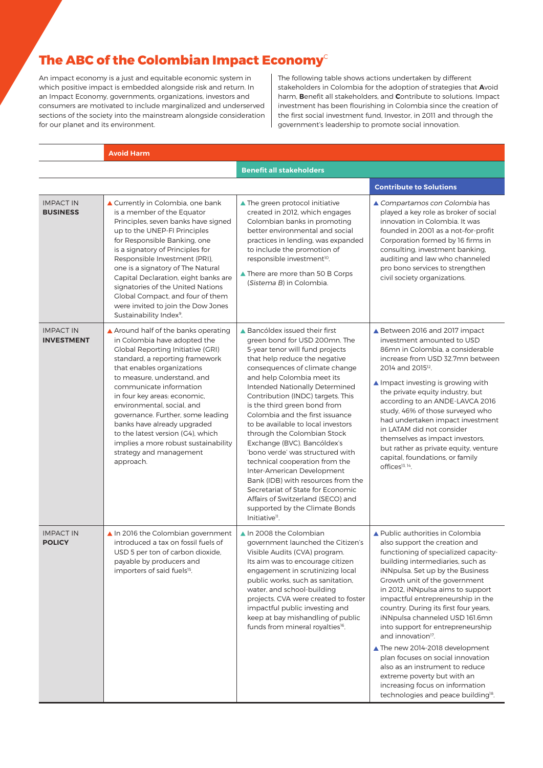### **The ABC of the Colombian Impact Economy**<sup>c</sup>

An impact economy is a just and equitable economic system in which positive impact is embedded alongside risk and return. In an Impact Economy, governments, organizations, investors and consumers are motivated to include marginalized and underserved sections of the society into the mainstream alongside consideration for our planet and its environment.

The following table shows actions undertaken by different stakeholders in Colombia for the adoption of strategies that **A**void harm, **B**enefit all stakeholders, and **C**ontribute to solutions. Impact investment has been flourishing in Colombia since the creation of the first social investment fund, Investor, in 2011 and through the government's leadership to promote social innovation.

**Avoid Harm**

|                                       |                                                                                                                                                                                                                                                                                                                                                                                                                                                                                                    | <b>Benefit all stakeholders</b>                                                                                                                                                                                                                                                                                                                                                                                                                                                                                                                                                                                                                                                                                                       |                                                                                                                                                                                                                                                                                                                                                                                                                                                                                                                                                                                                                                                                                |  |  |
|---------------------------------------|----------------------------------------------------------------------------------------------------------------------------------------------------------------------------------------------------------------------------------------------------------------------------------------------------------------------------------------------------------------------------------------------------------------------------------------------------------------------------------------------------|---------------------------------------------------------------------------------------------------------------------------------------------------------------------------------------------------------------------------------------------------------------------------------------------------------------------------------------------------------------------------------------------------------------------------------------------------------------------------------------------------------------------------------------------------------------------------------------------------------------------------------------------------------------------------------------------------------------------------------------|--------------------------------------------------------------------------------------------------------------------------------------------------------------------------------------------------------------------------------------------------------------------------------------------------------------------------------------------------------------------------------------------------------------------------------------------------------------------------------------------------------------------------------------------------------------------------------------------------------------------------------------------------------------------------------|--|--|
|                                       |                                                                                                                                                                                                                                                                                                                                                                                                                                                                                                    |                                                                                                                                                                                                                                                                                                                                                                                                                                                                                                                                                                                                                                                                                                                                       | <b>Contribute to Solutions</b>                                                                                                                                                                                                                                                                                                                                                                                                                                                                                                                                                                                                                                                 |  |  |
| <b>IMPACT IN</b><br><b>BUSINESS</b>   | ▲ Currently in Colombia, one bank<br>is a member of the Equator<br>Principles, seven banks have signed<br>up to the UNEP-FI Principles<br>for Responsible Banking, one<br>is a signatory of Principles for<br>Responsible Investment (PRI),<br>one is a signatory of The Natural<br>Capital Declaration, eight banks are<br>signatories of the United Nations<br>Global Compact, and four of them<br>were invited to join the Dow Jones<br>Sustainability Index <sup>9</sup> .                     | ▲ The green protocol initiative<br>created in 2012, which engages<br>Colombian banks in promoting<br>better environmental and social<br>practices in lending, was expanded<br>to include the promotion of<br>responsible investment <sup>10</sup> .<br>▲ There are more than 50 B Corps<br>(Sistema B) in Colombia.                                                                                                                                                                                                                                                                                                                                                                                                                   | ▲ Compartamos con Colombia has<br>played a key role as broker of social<br>innovation in Colombia. It was<br>founded in 2001 as a not-for-profit<br>Corporation formed by 16 firms in<br>consulting, investment banking,<br>auditing and law who channeled<br>pro bono services to strengthen<br>civil society organizations.                                                                                                                                                                                                                                                                                                                                                  |  |  |
| <b>IMPACT IN</b><br><b>INVESTMENT</b> | ▲ Around half of the banks operating<br>in Colombia have adopted the<br><b>Global Reporting Initiative (GRI)</b><br>standard, a reporting framework<br>that enables organizations<br>to measure, understand, and<br>communicate information<br>in four key areas: economic,<br>environmental, social, and<br>governance. Further, some leading<br>banks have already upgraded<br>to the latest version (G4), which<br>implies a more robust sustainability<br>strategy and management<br>approach. | ▲ Bancóldex issued their first<br>green bond for USD 200mn. The<br>5-year tenor will fund projects<br>that help reduce the negative<br>consequences of climate change<br>and help Colombia meet its<br>Intended Nationally Determined<br>Contribution (INDC) targets. This<br>is the third green bond from<br>Colombia and the first issuance<br>to be available to local investors<br>through the Colombian Stock<br>Exchange (BVC). Bancóldex's<br>'bono verde' was structured with<br>technical cooperation from the<br>Inter-American Development<br>Bank (IDB) with resources from the<br>Secretariat of State for Economic<br>Affairs of Switzerland (SECO) and<br>supported by the Climate Bonds<br>Initiative <sup>11</sup> . | ▲ Between 2016 and 2017 impact<br>investment amounted to USD<br>86mn in Colombia, a considerable<br>increase from USD 32.7mn between<br>2014 and 2015 <sup>12</sup> .<br>▲ Impact investing is growing with<br>the private equity industry, but<br>according to an ANDE-LAVCA 2016<br>study, 46% of those surveyed who<br>had undertaken impact investment<br>in LATAM did not consider<br>themselves as impact investors,<br>but rather as private equity, venture<br>capital, foundations, or family<br>offices <sup>13, 14</sup> .                                                                                                                                          |  |  |
| <b>IMPACT IN</b><br><b>POLICY</b>     | ▲ In 2016 the Colombian government<br>introduced a tax on fossil fuels of<br>USD 5 per ton of carbon dioxide,<br>payable by producers and<br>importers of said fuels <sup>15</sup> .                                                                                                                                                                                                                                                                                                               | ▲ In 2008 the Colombian<br>government launched the Citizen's<br>Visible Audits (CVA) program.<br>Its aim was to encourage citizen<br>engagement in scrutinizing local<br>public works, such as sanitation,<br>water, and school-building<br>projects. CVA were created to foster<br>impactful public investing and<br>keep at bay mishandling of public<br>funds from mineral royalties <sup>16</sup> .                                                                                                                                                                                                                                                                                                                               | ▲ Public authorities in Colombia<br>also support the creation and<br>functioning of specialized capacity-<br>building intermediaries, such as<br>iNNpulsa. Set up by the Business<br>Growth unit of the government<br>in 2012, iNNpulsa aims to support<br>impactful entrepreneurship in the<br>country. During its first four years,<br>iNNpulsa channeled USD 161.6mn<br>into support for entrepreneurship<br>and innovation <sup>17</sup> .<br>▲ The new 2014-2018 development<br>plan focuses on social innovation<br>also as an instrument to reduce<br>extreme poverty but with an<br>increasing focus on information<br>technologies and peace building <sup>18</sup> . |  |  |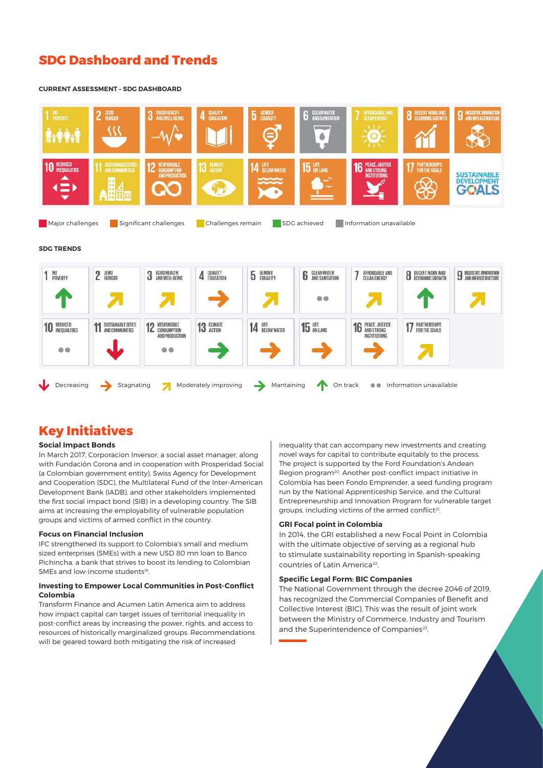### **SDG Dashboard and Trends**

#### **CURRENT ASSESSMENT – SDG DASHBOARD**



#### **SDG TRENDS**

| NO<br>POVERTY                       | 2 ZERO                                       | 3 GOOD HEALTH                                                               | 4 QUALITY            | GENDER<br>EQUALITY<br>5  | <b>6</b> CLEAN WATER | AFFORDABLE AND<br>CLEAN ENERGY             | <b>8</b> DECENT WORK AND | INDUSTRY, INNOVATION<br>J AND INFRASTRUCTURE |
|-------------------------------------|----------------------------------------------|-----------------------------------------------------------------------------|----------------------|--------------------------|----------------------|--------------------------------------------|--------------------------|----------------------------------------------|
|                                     |                                              |                                                                             |                      |                          | $\circ \circ$        |                                            |                          |                                              |
| <b>10 REDUCED</b><br>$\circledcirc$ | <b>SUSTAINABLE CITIES</b><br>AND COMMUNITIES | RESPONSIBLE<br><b>12 RESPONSIBLE</b><br>AND PRODUCTION<br>$\bullet \bullet$ | 13 GLIMATE           | 14 LIFE                  | 15 UFE               | <b>16 PEACE, JUSTICE</b><br>INSTITUTIONS   | <b>17 PARTNERSHIPS</b>   |                                              |
| Decreasing                          | Stagnating                                   | $\overline{\mathbf{z}}$                                                     | Moderately improving | $\rightarrow$ Mantaining |                      | On track $\bullet$ Information unavailable |                          |                                              |

### **Key Initiatives**

#### **Social Impact Bonds**

In March 2017, Corporacion Inversor, a social asset manager, along with Fundación Corona and in cooperation with Prosperidad Social (a Colombian government entity), Swiss Agency for Development and Cooperation (SDC), the Multilateral Fund of the Inter-American Development Bank (IADB), and other stakeholders implemented the first social impact bond (SIB) in a developing country. The SIB aims at increasing the employability of vulnerable population groups and victims of armed conflict in the country.

#### **Focus on Financial Inclusion**

IFC strengthened its support to Colombia's small and medium sized enterprises (SMEs) with a new USD 80 mn loan to Banco Pichincha, a bank that strives to boost its lending to Colombian SMEs and low-income students<sup>19</sup>

#### **Investing to Empower Local Communities in Post-Conflict Colombia**

Transform Finance and Acumen Latin America aim to address how impact capital can target issues of territorial inequality in post-conflict areas by increasing the power, rights, and access to resources of historically marginalized groups. Recommendations will be geared toward both mitigating the risk of increased

inequality that can accompany new investments and creating novel ways for capital to contribute equitably to the process. The project is supported by the Ford Foundation's Andean Region program20. Another post-conflict impact initiative in Colombia has been Fondo Emprender, a seed funding program run by the National Apprenticeship Service, and the Cultural Entrepreneurship and Innovation Program for vulnerable target groups, including victims of the armed conflict<sup>21</sup>.

#### **GRI Focal point in Colombia**

In 2014, the GRI established a new Focal Point in Colombia with the ultimate objective of serving as a regional hub to stimulate sustainability reporting in Spanish-speaking countries of Latin America<sup>22</sup>.

#### **Specific Legal Form: BIC Companies**

The National Government through the decree 2046 of 2019, has recognized the Commercial Companies of Benefit and Collective Interest (BIC). This was the result of joint work between the Ministry of Commerce, Industry and Tourism and the Superintendence of Companies<sup>23</sup>.